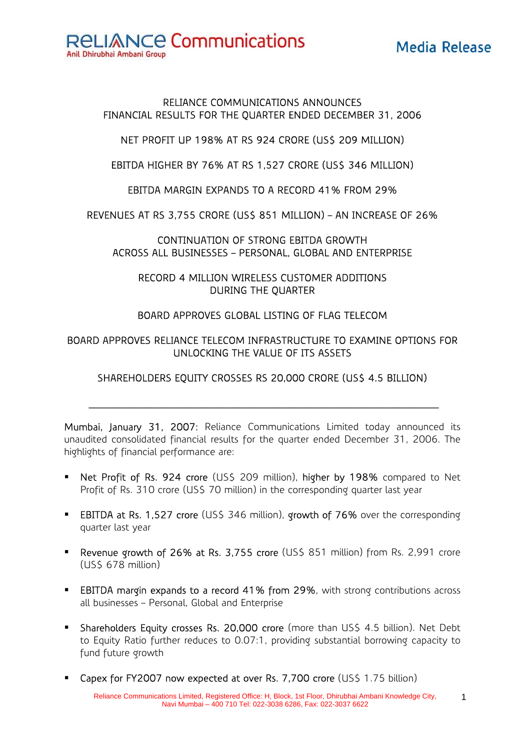Media Release



### RELIANCE COMMUNICATIONS ANNOUNCES FINANCIAL RESULTS FOR THE QUARTER ENDED DECEMBER 31, 2006

NET PROFIT UP 198% AT RS 924 CRORE (US\$ 209 MILLION)

EBITDA HIGHER BY 76% AT RS 1,527 CRORE (US\$ 346 MILLION)

EBITDA MARGIN EXPANDS TO A RECORD 41% FROM 29%

REVENUES AT RS 3,755 CRORE (US\$ 851 MILLION) – AN INCREASE OF 26%

CONTINUATION OF STRONG EBITDA GROWTH ACROSS ALL BUSINESSES – PERSONAL, GLOBAL AND ENTERPRISE

RECORD 4 MILLION WIRELESS CUSTOMER ADDITIONS DURING THE QUARTER

## BOARD APPROVES GLOBAL LISTING OF FLAG TELECOM

## BOARD APPROVES RELIANCE TELECOM INFRASTRUCTURE TO EXAMINE OPTIONS FOR UNLOCKING THE VALUE OF ITS ASSETS

# SHAREHOLDERS EQUITY CROSSES RS 20,000 CRORE (US\$ 4.5 BILLION)

\_\_\_\_\_\_\_\_\_\_\_\_\_\_\_\_\_\_\_\_\_\_\_\_\_\_\_\_\_\_\_\_\_\_\_\_\_\_\_\_\_\_\_\_\_\_\_\_\_\_\_\_\_\_\_\_\_\_\_\_\_\_\_\_\_\_\_\_\_\_\_\_

Mumbai, January 31, 2007: Reliance Communications Limited today announced its unaudited consolidated financial results for the quarter ended December 31, 2006. The highlights of financial performance are:

- Net Profit of Rs. 924 crore (US\$ 209 million), higher by 198% compared to Net Profit of Rs. 310 crore (US\$ 70 million) in the corresponding quarter last year
- **EBITDA at Rs. 1,527 crore** (US\$ 346 million), growth of 76% over the corresponding quarter last year
- Revenue growth of 26% at Rs. 3,755 crore (US\$ 851 million) from Rs. 2,991 crore (US\$ 678 million)
- **EBITDA margin expands to a record 41% from 29%**, with strong contributions across all businesses – Personal, Global and Enterprise
- Shareholders Equity crosses Rs. 20,000 crore (more than US\$ 4.5 billion). Net Debt to Equity Ratio further reduces to 0.07:1, providing substantial borrowing capacity to fund future growth
- Capex for FY2007 now expected at over Rs. 7,700 crore (US\$ 1.75 billion)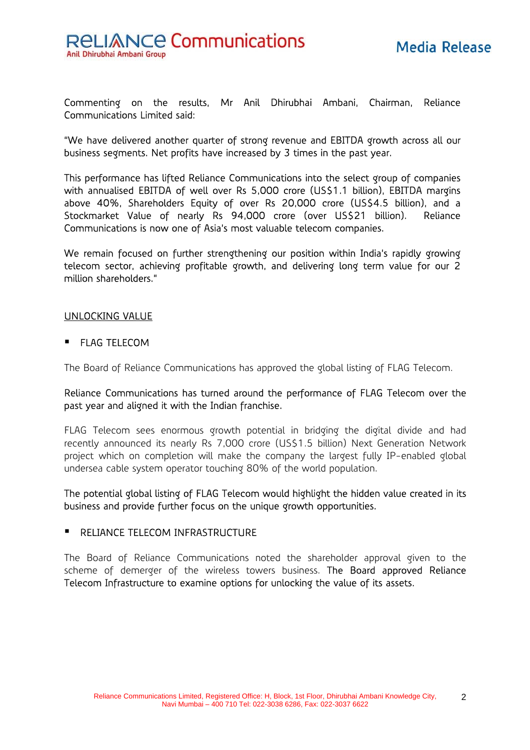

Commenting on the results, Mr Anil Dhirubhai Ambani, Chairman, Reliance Communications Limited said:

"We have delivered another quarter of strong revenue and EBITDA growth across all our business segments. Net profits have increased by 3 times in the past year.

This performance has lifted Reliance Communications into the select group of companies with annualised EBITDA of well over Rs 5,000 crore (US\$1.1 billion), EBITDA margins above 40%, Shareholders Equity of over Rs 20,000 crore (US\$4.5 billion), and a Stockmarket Value of nearly Rs 94,000 crore (over US\$21 billion). Reliance Communications is now one of Asia's most valuable telecom companies.

We remain focused on further strengthening our position within India's rapidly growing telecom sector, achieving profitable growth, and delivering long term value for our 2 million shareholders."

#### UNLOCKING VALUE

**FLAG TELECOM** 

The Board of Reliance Communications has approved the global listing of FLAG Telecom.

#### Reliance Communications has turned around the performance of FLAG Telecom over the past year and aligned it with the Indian franchise.

FLAG Telecom sees enormous growth potential in bridging the digital divide and had recently announced its nearly Rs 7,000 crore (US\$1.5 billion) Next Generation Network project which on completion will make the company the largest fully IP-enabled global undersea cable system operator touching 80% of the world population.

The potential global listing of FLAG Telecom would highlight the hidden value created in its business and provide further focus on the unique growth opportunities.

#### **RELIANCE TELECOM INFRASTRUCTURE**

The Board of Reliance Communications noted the shareholder approval given to the scheme of demerger of the wireless towers business. The Board approved Reliance Telecom Infrastructure to examine options for unlocking the value of its assets.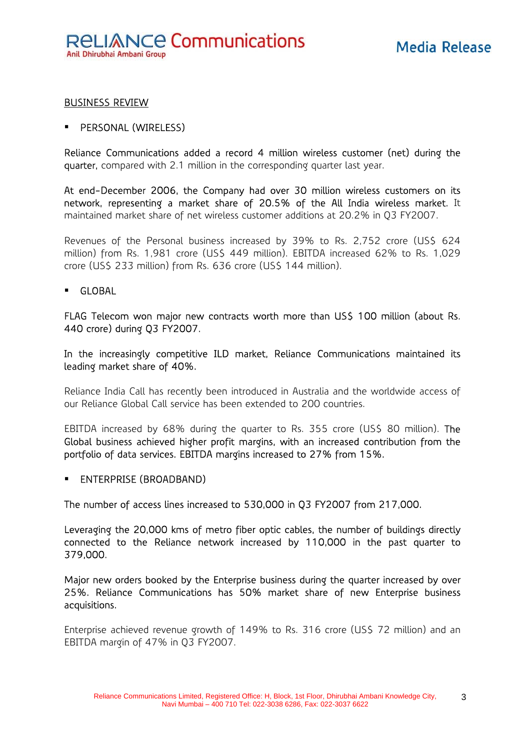### BUSINESS REVIEW

#### PERSONAL (WIRELESS)

Reliance Communications added a record 4 million wireless customer (net) during the quarter, compared with 2.1 million in the corresponding quarter last year.

At end-December 2006, the Company had over 30 million wireless customers on its network, representing a market share of 20.5% of the All India wireless market. It maintained market share of net wireless customer additions at 20.2% in Q3 FY2007.

Revenues of the Personal business increased by 39% to Rs. 2,752 crore (US\$ 624 million) from Rs. 1,981 crore (US\$ 449 million). EBITDA increased 62% to Rs. 1,029 crore (US\$ 233 million) from Rs. 636 crore (US\$ 144 million).

GLOBAL

FLAG Telecom won major new contracts worth more than US\$ 100 million (about Rs. 440 crore) during Q3 FY2007.

In the increasingly competitive ILD market, Reliance Communications maintained its leading market share of 40%.

Reliance India Call has recently been introduced in Australia and the worldwide access of our Reliance Global Call service has been extended to 200 countries.

EBITDA increased by 68% during the quarter to Rs. 355 crore (US\$ 80 million). The Global business achieved higher profit margins, with an increased contribution from the portfolio of data services. EBITDA margins increased to 27% from 15%.

**ENTERPRISE (BROADBAND)** 

The number of access lines increased to 530,000 in Q3 FY2007 from 217,000.

Leveraging the 20,000 kms of metro fiber optic cables, the number of buildings directly connected to the Reliance network increased by 110,000 in the past quarter to 379,000.

Major new orders booked by the Enterprise business during the quarter increased by over 25%. Reliance Communications has 50% market share of new Enterprise business acquisitions.

Enterprise achieved revenue growth of 149% to Rs. 316 crore (US\$ 72 million) and an EBITDA margin of 47% in Q3 FY2007.